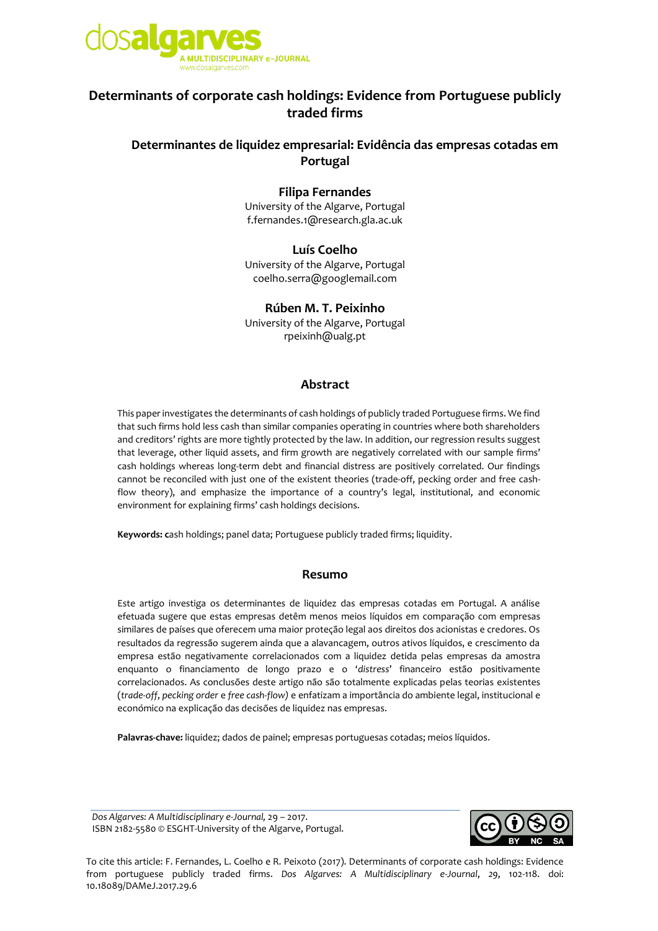

# **Determinants of corporate cash holdings: Evidence from Portuguese publicly traded firms**

## **Determinantes de liquidez empresarial: Evidência das empresas cotadas em Portugal**

### **Filipa Fernandes**

University of the Algarve, Portugal f.fernandes.1@research.gla.ac.uk

#### **Luís Coelho**

University of the Algarve, Portugal [coelho.serra@googlemail.com](mailto:coelho.serra@googlemail.com)

## **Rúben M. T. Peixinho**

University of the Algarve, Portugal [rpeixinh@ualg.pt](mailto:rpeixinh@ualg.pt)

#### **Abstract**

This paper investigates the determinants of cash holdings of publicly traded Portuguese firms. We find that such firms hold less cash than similar companies operating in countries where both shareholders and creditors' rights are more tightly protected by the law. In addition, our regression results suggest that leverage, other liquid assets, and firm growth are negatively correlated with our sample firms' cash holdings whereas long-term debt and financial distress are positively correlated. Our findings cannot be reconciled with just one of the existent theories (trade-off, pecking order and free cashflow theory), and emphasize the importance of a country's legal, institutional, and economic environment for explaining firms' cash holdings decisions.

**Keywords: c**ash holdings; panel data; Portuguese publicly traded firms; liquidity.

#### **Resumo**

Este artigo investiga os determinantes de liquidez das empresas cotadas em Portugal. A análise efetuada sugere que estas empresas detêm menos meios líquidos em comparação com empresas similares de países que oferecem uma maior proteção legal aos direitos dos acionistas e credores. Os resultados da regressão sugerem ainda que a alavancagem, outros ativos líquidos, e crescimento da empresa estão negativamente correlacionados com a liquidez detida pelas empresas da amostra enquanto o financiamento de longo prazo e o '*distress*' financeiro estão positivamente correlacionados. As conclusões deste artigo não são totalmente explicadas pelas teorias existentes (*trade-off*, *pecking order* e *free cash-flow)* e enfatizam a importância do ambiente legal, institucional e económico na explicação das decisões de liquidez nas empresas.

**Palavras-chave:** liquidez; dados de painel; empresas portuguesas cotadas; meios líquidos.

*Dos Algarves: A Multidisciplinary e-Journal,* 29 – 2017. ISBN 2182-5580 © ESGHT-University of the Algarve, Portugal.



To cite this article: F. Fernandes, L. Coelho e R. Peixoto (2017). Determinants of corporate cash holdings: Evidence from portuguese publicly traded firms. *Dos Algarves: A Multidisciplinary e-Journal*, *29*, 102-118. doi: 10.18089/DAMeJ.2017.29.6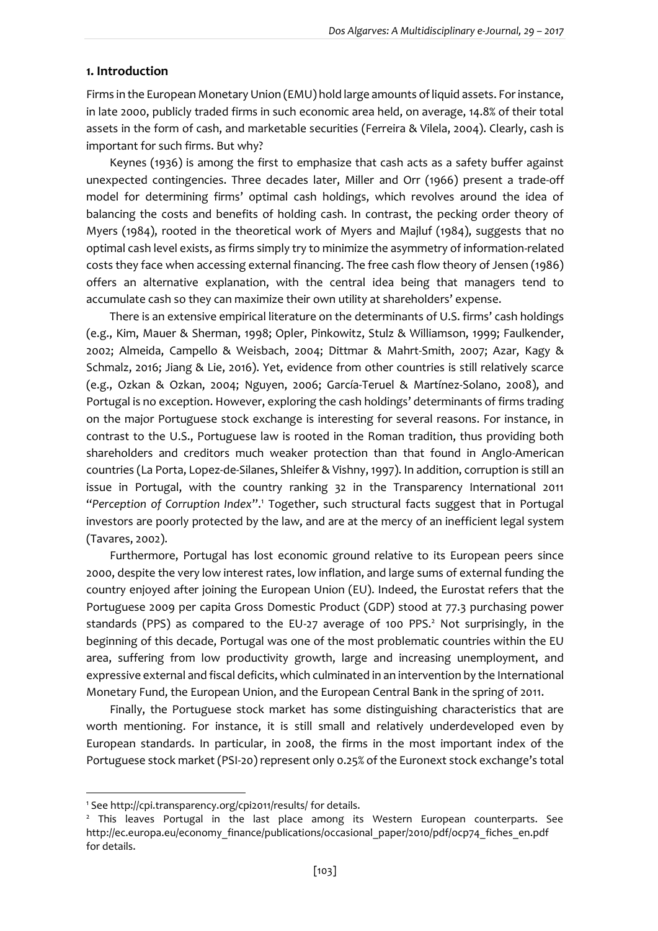#### **1. Introduction**

Firms in the European Monetary Union (EMU) hold large amounts of liquid assets. For instance, in late 2000, publicly traded firms in such economic area held, on average, 14.8% of their total assets in the form of cash, and marketable securities (Ferreira & Vilela, 2004). Clearly, cash is important for such firms. But why?

Keynes (1936) is among the first to emphasize that cash acts as a safety buffer against unexpected contingencies. Three decades later, Miller and Orr (1966) present a trade-off model for determining firms' optimal cash holdings, which revolves around the idea of balancing the costs and benefits of holding cash. In contrast, the pecking order theory of Myers (1984), rooted in the theoretical work of Myers and Majluf (1984), suggests that no optimal cash level exists, as firms simply try to minimize the asymmetry of information-related costs they face when accessing external financing. The free cash flow theory of Jensen (1986) offers an alternative explanation, with the central idea being that managers tend to accumulate cash so they can maximize their own utility at shareholders' expense.

There is an extensive empirical literature on the determinants of U.S. firms' cash holdings (e.g., Kim, Mauer & Sherman, 1998; Opler, Pinkowitz, Stulz & Williamson, 1999; Faulkender, 2002; Almeida, Campello & Weisbach, 2004; Dittmar & Mahrt-Smith, 2007; Azar, Kagy & Schmalz, 2016; Jiang & Lie, 2016). Yet, evidence from other countries is still relatively scarce (e.g., Ozkan & Ozkan, 2004; Nguyen, 2006; García-Teruel & Martínez-Solano, 2008), and Portugal is no exception. However, exploring the cash holdings' determinants of firms trading on the major Portuguese stock exchange is interesting for several reasons. For instance, in contrast to the U.S., Portuguese law is rooted in the Roman tradition, thus providing both shareholders and creditors much weaker protection than that found in Anglo-American countries (La Porta, Lopez-de-Silanes, Shleifer & Vishny, 1997). In addition, corruption is still an issue in Portugal, with the country ranking 32 in the Transparency International 2011 "*Perception of Corruption Index*".<sup>1</sup> Together, such structural facts suggest that in Portugal investors are poorly protected by the law, and are at the mercy of an inefficient legal system (Tavares, 2002).

Furthermore, Portugal has lost economic ground relative to its European peers since 2000, despite the very low interest rates, low inflation, and large sums of external funding the country enjoyed after joining the European Union (EU). Indeed, the Eurostat refers that the Portuguese 2009 per capita Gross Domestic Product (GDP) stood at 77.3 purchasing power standards (PPS) as compared to the EU-27 average of 100 PPS.<sup>2</sup> Not surprisingly, in the beginning of this decade, Portugal was one of the most problematic countries within the EU area, suffering from low productivity growth, large and increasing unemployment, and expressive external and fiscal deficits, which culminated in an intervention by the International Monetary Fund, the European Union, and the European Central Bank in the spring of 2011.

Finally, the Portuguese stock market has some distinguishing characteristics that are worth mentioning. For instance, it is still small and relatively underdeveloped even by European standards. In particular, in 2008, the firms in the most important index of the Portuguese stock market (PSI-20) represent only 0.25% of the Euronext stock exchange's total

1

<sup>1</sup> See http://cpi.transparency.org/cpi2011/results/ for details.

<sup>&</sup>lt;sup>2</sup> This leaves Portugal in the last place among its Western European counterparts. See http://ec.europa.eu/economy\_finance/publications/occasional\_paper/2010/pdf/ocp74\_fiches\_en.pdf for details.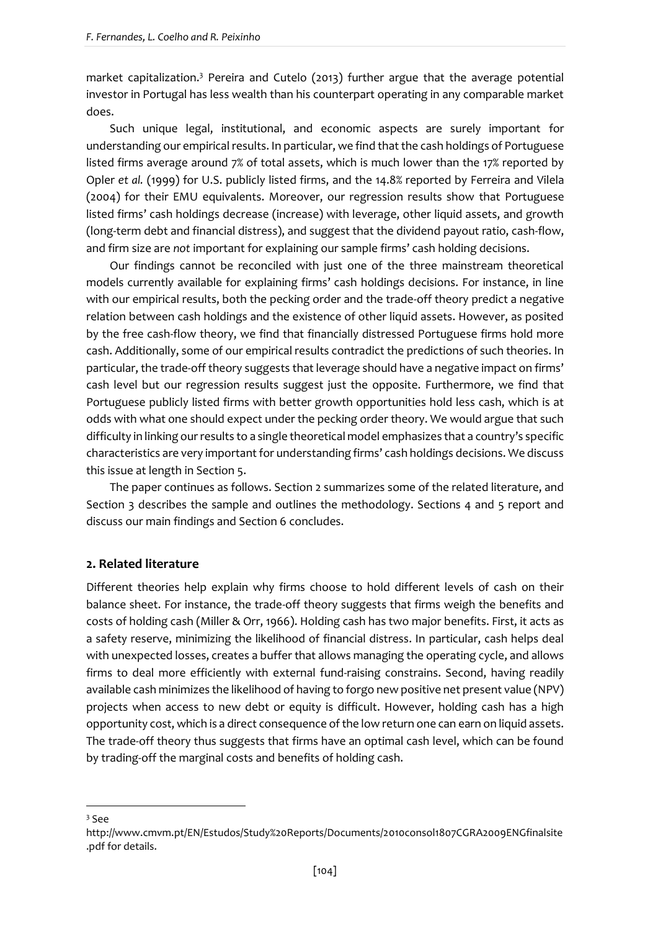market capitalization.<sup>3</sup> Pereira and Cutelo (2013) further argue that the average potential investor in Portugal has less wealth than his counterpart operating in any comparable market does.

Such unique legal, institutional, and economic aspects are surely important for understanding our empirical results. In particular, we find that the cash holdings of Portuguese listed firms average around 7% of total assets, which is much lower than the 17% reported by Opler *et al.* (1999) for U.S. publicly listed firms, and the 14.8% reported by Ferreira and Vilela (2004) for their EMU equivalents. Moreover, our regression results show that Portuguese listed firms' cash holdings decrease (increase) with leverage, other liquid assets, and growth (long-term debt and financial distress), and suggest that the dividend payout ratio, cash-flow, and firm size are *not* important for explaining our sample firms' cash holding decisions.

Our findings cannot be reconciled with just one of the three mainstream theoretical models currently available for explaining firms' cash holdings decisions. For instance, in line with our empirical results, both the pecking order and the trade-off theory predict a negative relation between cash holdings and the existence of other liquid assets. However, as posited by the free cash-flow theory, we find that financially distressed Portuguese firms hold more cash. Additionally, some of our empirical results contradict the predictions of such theories. In particular, the trade-off theory suggests that leverage should have a negative impact on firms' cash level but our regression results suggest just the opposite. Furthermore, we find that Portuguese publicly listed firms with better growth opportunities hold less cash, which is at odds with what one should expect under the pecking order theory. We would argue that such difficulty in linking our results to a single theoretical model emphasizes that a country's specific characteristics are very important for understanding firms' cash holdings decisions. We discuss this issue at length in Section 5.

The paper continues as follows. Section 2 summarizes some of the related literature, and Section 3 describes the sample and outlines the methodology. Sections 4 and 5 report and discuss our main findings and Section 6 concludes.

#### **2. Related literature**

Different theories help explain why firms choose to hold different levels of cash on their balance sheet. For instance, the trade-off theory suggests that firms weigh the benefits and costs of holding cash (Miller & Orr, 1966). Holding cash has two major benefits. First, it acts as a safety reserve, minimizing the likelihood of financial distress. In particular, cash helps deal with unexpected losses, creates a buffer that allows managing the operating cycle, and allows firms to deal more efficiently with external fund-raising constrains. Second, having readily available cash minimizes the likelihood of having to forgo new positive net present value (NPV) projects when access to new debt or equity is difficult. However, holding cash has a high opportunity cost, which is a direct consequence of the low return one can earn on liquid assets. The trade-off theory thus suggests that firms have an optimal cash level, which can be found by trading-off the marginal costs and benefits of holding cash.

 $3$  See

**.** 

http://www.cmvm.pt/EN/Estudos/Study%20Reports/Documents/2010consol1807CGRA2009ENGfinalsite .pdf for details.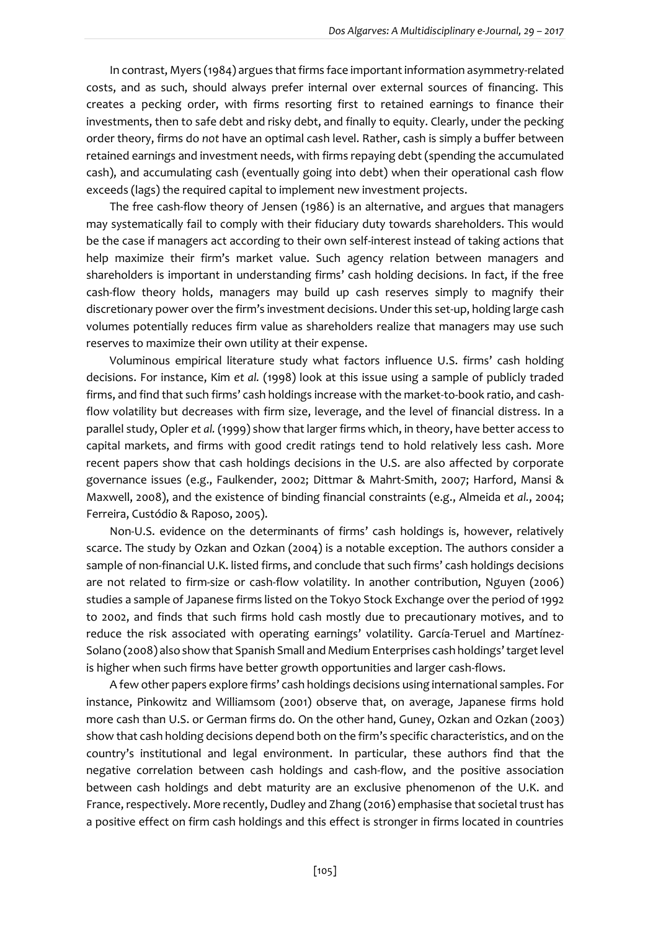In contrast, Myers (1984) argues that firms face important information asymmetry-related costs, and as such, should always prefer internal over external sources of financing. This creates a pecking order, with firms resorting first to retained earnings to finance their investments, then to safe debt and risky debt, and finally to equity. Clearly, under the pecking order theory, firms do *not* have an optimal cash level. Rather, cash is simply a buffer between retained earnings and investment needs, with firms repaying debt (spending the accumulated cash), and accumulating cash (eventually going into debt) when their operational cash flow exceeds (lags) the required capital to implement new investment projects.

The free cash-flow theory of Jensen (1986) is an alternative, and argues that managers may systematically fail to comply with their fiduciary duty towards shareholders. This would be the case if managers act according to their own self-interest instead of taking actions that help maximize their firm's market value. Such agency relation between managers and shareholders is important in understanding firms' cash holding decisions. In fact, if the free cash-flow theory holds, managers may build up cash reserves simply to magnify their discretionary power over the firm's investment decisions. Under this set-up, holding large cash volumes potentially reduces firm value as shareholders realize that managers may use such reserves to maximize their own utility at their expense.

Voluminous empirical literature study what factors influence U.S. firms' cash holding decisions. For instance, Kim *et al.* (1998) look at this issue using a sample of publicly traded firms, and find that such firms' cash holdings increase with the market-to-book ratio, and cashflow volatility but decreases with firm size, leverage, and the level of financial distress. In a parallel study, Opler *et al.* (1999) show that larger firms which, in theory, have better access to capital markets, and firms with good credit ratings tend to hold relatively less cash. More recent papers show that cash holdings decisions in the U.S. are also affected by corporate governance issues (e.g., Faulkender, 2002; Dittmar & Mahrt-Smith, 2007; Harford, Mansi & Maxwell, 2008), and the existence of binding financial constraints (e.g., Almeida *et al.*, 2004; Ferreira, Custódio & Raposo, 2005).

Non-U.S. evidence on the determinants of firms' cash holdings is, however, relatively scarce. The study by Ozkan and Ozkan (2004) is a notable exception. The authors consider a sample of non-financial U.K. listed firms, and conclude that such firms' cash holdings decisions are not related to firm-size or cash-flow volatility. In another contribution, Nguyen (2006) studies a sample of Japanese firms listed on the Tokyo Stock Exchange over the period of 1992 to 2002, and finds that such firms hold cash mostly due to precautionary motives, and to reduce the risk associated with operating earnings' volatility. García-Teruel and Martínez-Solano (2008) also show that Spanish Small and Medium Enterprises cash holdings' target level is higher when such firms have better growth opportunities and larger cash-flows.

A few other papers explore firms' cash holdings decisions using international samples. For instance, Pinkowitz and Williamsom (2001) observe that, on average, Japanese firms hold more cash than U.S. or German firms do. On the other hand, Guney, Ozkan and Ozkan (2003) show that cash holding decisions depend both on the firm's specific characteristics, and on the country's institutional and legal environment. In particular, these authors find that the negative correlation between cash holdings and cash-flow, and the positive association between cash holdings and debt maturity are an exclusive phenomenon of the U.K. and France, respectively. More recently, Dudley and Zhang (2016) emphasise that societal trust has a positive effect on firm cash holdings and this effect is stronger in firms located in countries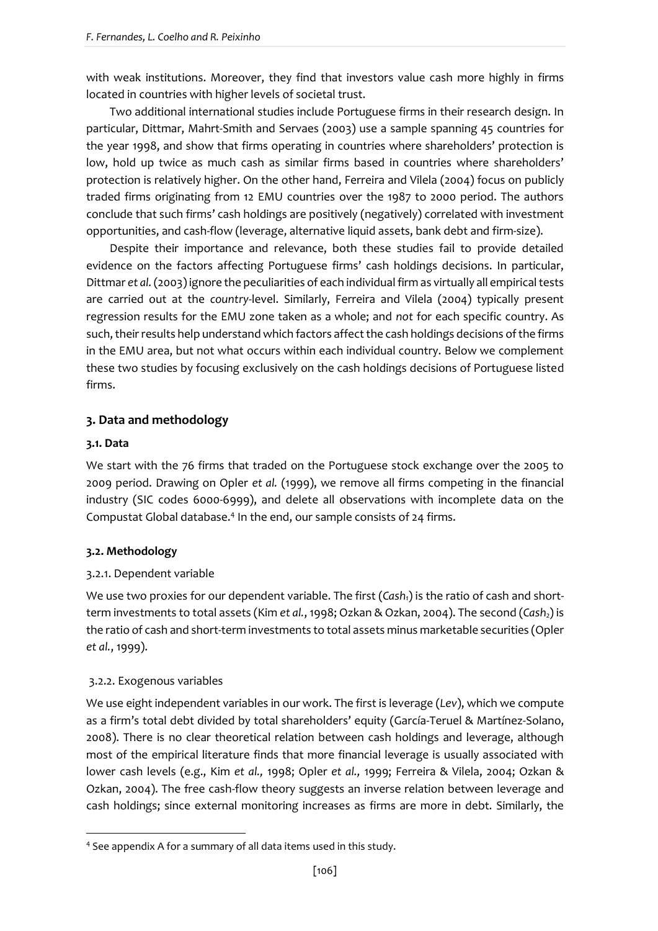with weak institutions. Moreover, they find that investors value cash more highly in firms located in countries with higher levels of societal trust.

Two additional international studies include Portuguese firms in their research design. In particular, Dittmar, Mahrt-Smith and Servaes (2003) use a sample spanning 45 countries for the year 1998, and show that firms operating in countries where shareholders' protection is low, hold up twice as much cash as similar firms based in countries where shareholders' protection is relatively higher. On the other hand, Ferreira and Vilela (2004) focus on publicly traded firms originating from 12 EMU countries over the 1987 to 2000 period. The authors conclude that such firms' cash holdings are positively (negatively) correlated with investment opportunities, and cash-flow (leverage, alternative liquid assets, bank debt and firm-size).

Despite their importance and relevance, both these studies fail to provide detailed evidence on the factors affecting Portuguese firms' cash holdings decisions. In particular, Dittmar *et al.*(2003) ignore the peculiarities of each individual firm as virtually all empirical tests are carried out at the *country*-level. Similarly, Ferreira and Vilela (2004) typically present regression results for the EMU zone taken as a whole; and *not* for each specific country. As such, their results help understand which factors affect the cash holdings decisions of the firms in the EMU area, but not what occurs within each individual country. Below we complement these two studies by focusing exclusively on the cash holdings decisions of Portuguese listed firms.

## **3. Data and methodology**

## **3.1. Data**

We start with the 76 firms that traded on the Portuguese stock exchange over the 2005 to 2009 period. Drawing on Opler *et al.* (1999), we remove all firms competing in the financial industry (SIC codes 6000-6999), and delete all observations with incomplete data on the Compustat Global database.<sup>4</sup> In the end, our sample consists of 24 firms.

## **3.2. Methodology**

## 3.2.1. Dependent variable

We use two proxies for our dependent variable. The first (*Cash1*) is the ratio of cash and shortterm investments to total assets (Kim *et al.*, 1998; Ozkan & Ozkan, 2004). The second (*Cash2*) is the ratio of cash and short-term investments to total assets minus marketable securities (Opler *et al.*, 1999).

## 3.2.2. Exogenous variables

**.** 

We use eight independent variables in our work. The first is leverage (*Lev*), which we compute as a firm's total debt divided by total shareholders' equity (García-Teruel & Martínez-Solano, 2008). There is no clear theoretical relation between cash holdings and leverage, although most of the empirical literature finds that more financial leverage is usually associated with lower cash levels (e.g., Kim *et al.,* 1998; Opler *et al.,* 1999; Ferreira & Vilela, 2004; Ozkan & Ozkan, 2004). The free cash-flow theory suggests an inverse relation between leverage and cash holdings; since external monitoring increases as firms are more in debt. Similarly, the

<sup>4</sup> See appendix A for a summary of all data items used in this study.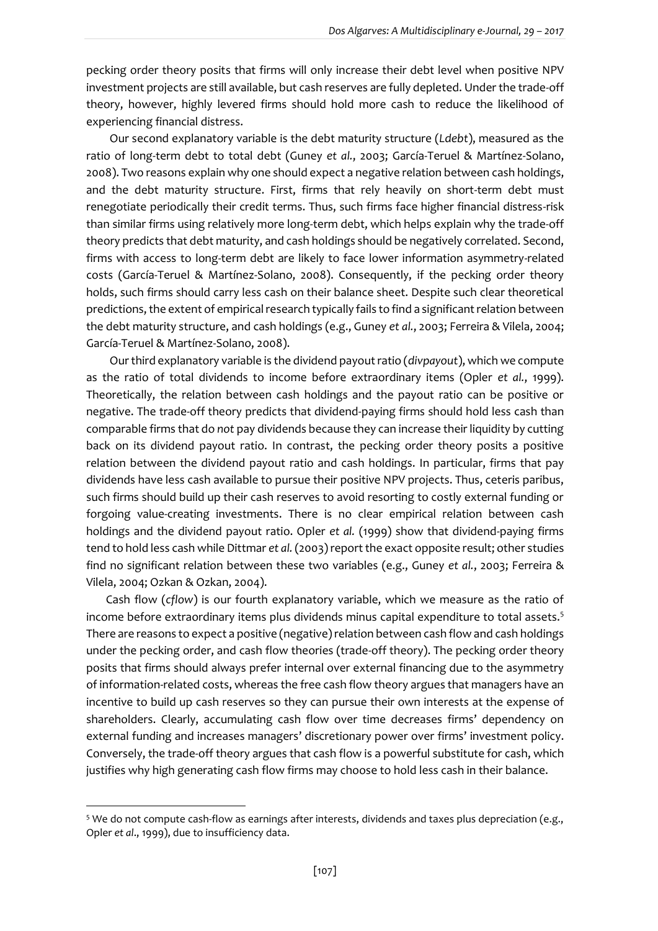pecking order theory posits that firms will only increase their debt level when positive NPV investment projects are still available, but cash reserves are fully depleted. Under the trade-off theory, however, highly levered firms should hold more cash to reduce the likelihood of experiencing financial distress.

Our second explanatory variable is the debt maturity structure (*Ldebt*), measured as the ratio of long-term debt to total debt (Guney *et al.*, 2003; García-Teruel & Martínez-Solano, 2008). Two reasons explain why one should expect a negative relation between cash holdings, and the debt maturity structure. First, firms that rely heavily on short-term debt must renegotiate periodically their credit terms. Thus, such firms face higher financial distress-risk than similar firms using relatively more long-term debt, which helps explain why the trade-off theory predicts that debt maturity, and cash holdings should be negatively correlated. Second, firms with access to long-term debt are likely to face lower information asymmetry-related costs (García-Teruel & Martínez-Solano, 2008). Consequently, if the pecking order theory holds, such firms should carry less cash on their balance sheet. Despite such clear theoretical predictions, the extent of empirical research typically fails to find a significant relation between the debt maturity structure, and cash holdings (e.g., Guney *et al.*, 2003; Ferreira & Vilela, 2004; García-Teruel & Martínez-Solano, 2008).

Our third explanatory variable is the dividend payout ratio (*divpayout*), which we compute as the ratio of total dividends to income before extraordinary items (Opler *et al.*, 1999). Theoretically, the relation between cash holdings and the payout ratio can be positive or negative. The trade-off theory predicts that dividend-paying firms should hold less cash than comparable firms that do *not* pay dividends because they can increase their liquidity by cutting back on its dividend payout ratio. In contrast, the pecking order theory posits a positive relation between the dividend payout ratio and cash holdings. In particular, firms that pay dividends have less cash available to pursue their positive NPV projects. Thus, ceteris paribus, such firms should build up their cash reserves to avoid resorting to costly external funding or forgoing value-creating investments. There is no clear empirical relation between cash holdings and the dividend payout ratio. Opler *et al.* (1999) show that dividend-paying firms tend to hold less cash while Dittmar *et al.*(2003) report the exact opposite result; other studies find no significant relation between these two variables (e.g., Guney *et al.*, 2003; Ferreira & Vilela, 2004; Ozkan & Ozkan, 2004).

Cash flow (*cflow*) is our fourth explanatory variable, which we measure as the ratio of income before extraordinary items plus dividends minus capital expenditure to total assets.<sup>5</sup> There are reasons to expect a positive (negative) relation between cash flow and cash holdings under the pecking order, and cash flow theories (trade-off theory). The pecking order theory posits that firms should always prefer internal over external financing due to the asymmetry of information-related costs, whereas the free cash flow theory argues that managers have an incentive to build up cash reserves so they can pursue their own interests at the expense of shareholders. Clearly, accumulating cash flow over time decreases firms' dependency on external funding and increases managers' discretionary power over firms' investment policy. Conversely, the trade-off theory argues that cash flow is a powerful substitute for cash, which justifies why high generating cash flow firms may choose to hold less cash in their balance.

**.** 

<sup>5</sup> We do not compute cash-flow as earnings after interests, dividends and taxes plus depreciation (e.g., Opler *et al*., 1999), due to insufficiency data.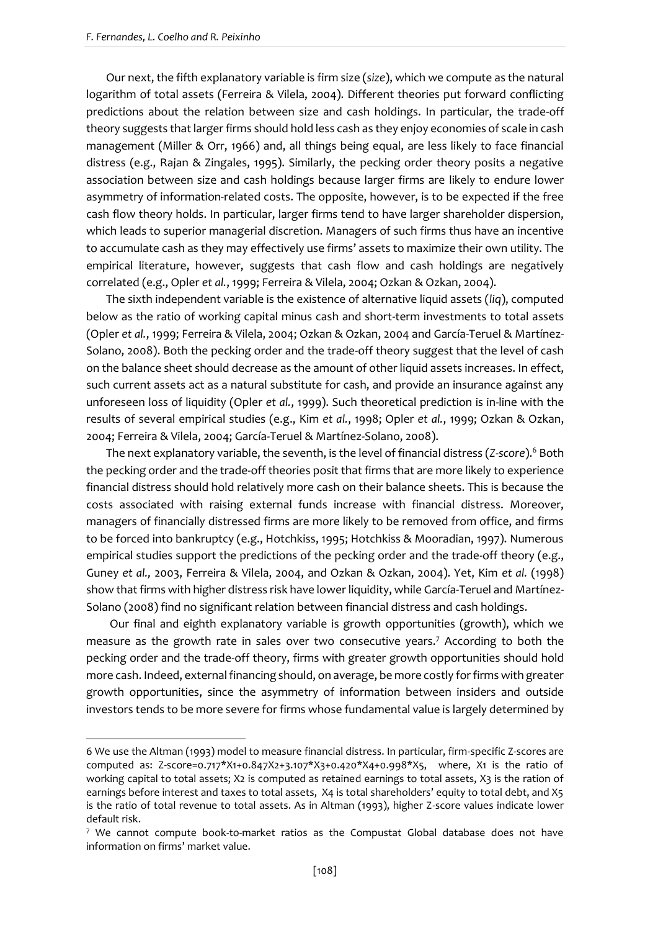**.** 

Our next, the fifth explanatory variable is firm size (*size*), which we compute as the natural logarithm of total assets (Ferreira & Vilela, 2004). Different theories put forward conflicting predictions about the relation between size and cash holdings. In particular, the trade-off theory suggests that larger firms should hold less cash as they enjoy economies of scale in cash management (Miller & Orr, 1966) and, all things being equal, are less likely to face financial distress (e.g., Rajan & Zingales, 1995). Similarly, the pecking order theory posits a negative association between size and cash holdings because larger firms are likely to endure lower asymmetry of information-related costs. The opposite, however, is to be expected if the free cash flow theory holds. In particular, larger firms tend to have larger shareholder dispersion, which leads to superior managerial discretion. Managers of such firms thus have an incentive to accumulate cash as they may effectively use firms' assets to maximize their own utility. The empirical literature, however, suggests that cash flow and cash holdings are negatively correlated (e.g., Opler *et al.*, 1999; Ferreira & Vilela, 2004; Ozkan & Ozkan, 2004).

The sixth independent variable is the existence of alternative liquid assets (*liq*), computed below as the ratio of working capital minus cash and short-term investments to total assets (Opler *et al.*, 1999; Ferreira & Vilela, 2004; Ozkan & Ozkan, 2004 and García-Teruel & Martínez-Solano, 2008). Both the pecking order and the trade-off theory suggest that the level of cash on the balance sheet should decrease as the amount of other liquid assets increases. In effect, such current assets act as a natural substitute for cash, and provide an insurance against any unforeseen loss of liquidity (Opler *et al.*, 1999). Such theoretical prediction is in-line with the results of several empirical studies (e.g., Kim *et al.*, 1998; Opler *et al.*, 1999; Ozkan & Ozkan, 2004; Ferreira & Vilela, 2004; García-Teruel & Martínez-Solano, 2008).

The next explanatory variable, the seventh, is the level of financial distress (*Z-score*).<sup>6</sup> Both the pecking order and the trade-off theories posit that firms that are more likely to experience financial distress should hold relatively more cash on their balance sheets. This is because the costs associated with raising external funds increase with financial distress. Moreover, managers of financially distressed firms are more likely to be removed from office, and firms to be forced into bankruptcy (e.g., Hotchkiss, 1995; Hotchkiss & Mooradian, 1997). Numerous empirical studies support the predictions of the pecking order and the trade-off theory (e.g., Guney *et al.,* 2003, Ferreira & Vilela, 2004, and Ozkan & Ozkan, 2004). Yet, Kim *et al.* (1998) show that firms with higher distress risk have lower liquidity, while García-Teruel and Martínez-Solano (2008) find no significant relation between financial distress and cash holdings.

Our final and eighth explanatory variable is growth opportunities (growth), which we measure as the growth rate in sales over two consecutive years.<sup>7</sup> According to both the pecking order and the trade-off theory, firms with greater growth opportunities should hold more cash. Indeed, external financing should, on average, be more costly for firms with greater growth opportunities, since the asymmetry of information between insiders and outside investors tends to be more severe for firms whose fundamental value is largely determined by

<sup>6</sup> We use the Altman (1993) model to measure financial distress. In particular, firm-specific Z-scores are computed as: Z-score=0.717\*X1+0.847X2+3.107\*X3+0.420\*X4+0.998\*X5, where, X1 is the ratio of working capital to total assets; X2 is computed as retained earnings to total assets, X3 is the ration of earnings before interest and taxes to total assets, X4 is total shareholders' equity to total debt, and X5 is the ratio of total revenue to total assets. As in Altman (1993), higher Z-score values indicate lower default risk.

 $7$  We cannot compute book-to-market ratios as the Compustat Global database does not have information on firms' market value.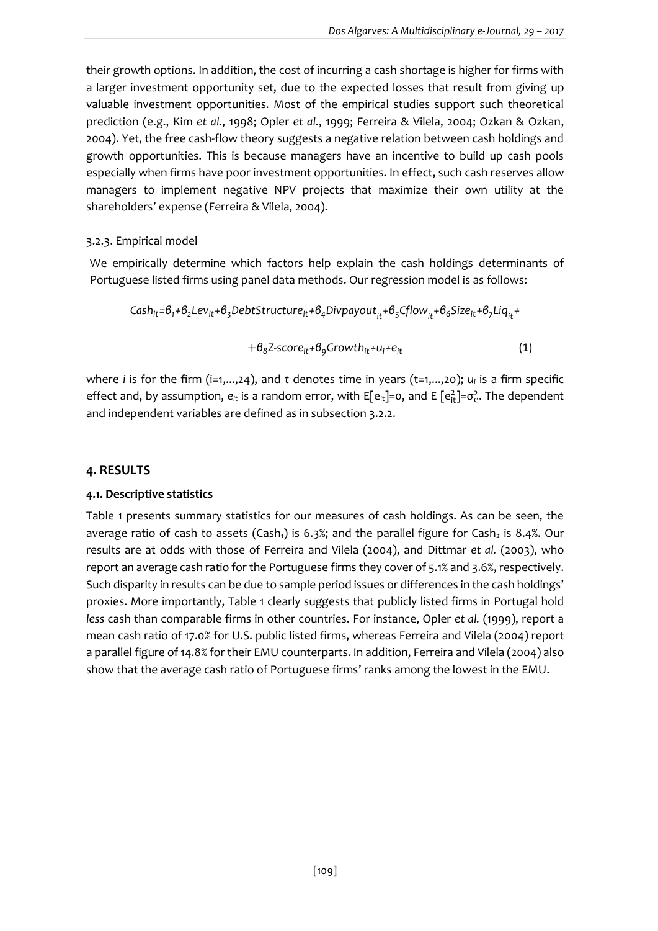their growth options. In addition, the cost of incurring a cash shortage is higher for firms with a larger investment opportunity set, due to the expected losses that result from giving up valuable investment opportunities. Most of the empirical studies support such theoretical prediction (e.g., Kim *et al.*, 1998; Opler *et al.*, 1999; Ferreira & Vilela, 2004; Ozkan & Ozkan, 2004). Yet, the free cash-flow theory suggests a negative relation between cash holdings and growth opportunities. This is because managers have an incentive to build up cash pools especially when firms have poor investment opportunities. In effect, such cash reserves allow managers to implement negative NPV projects that maximize their own utility at the shareholders' expense (Ferreira & Vilela, 2004).

#### 3.2.3. Empirical model

We empirically determine which factors help explain the cash holdings determinants of Portuguese listed firms using panel data methods. Our regression model is as follows:

$$
\textit{Cash}_{it} = \theta_i + \theta_2 Lev_{it} + \theta_3 DebtStructure_{it} + \theta_4 Divpayout_{it} + \theta_5Cflow_{it} + \theta_6 Size_{it} + \theta_7 Lig_{it} +
$$

$$
+\beta_8 Z\text{-}score_{it}+\beta_9 Growth_{it}+u_i+e_{it}
$$
 (1)

where *i* is for the firm (i=1,...,24), and *t* denotes time in years (t=1,...,20); *u<sub>i</sub>* is a firm specific effect and, by assumption,  $e_{it}$  is a random error, with E[e<sub>it</sub>]=0, and E [e<sub>it</sub>]=σ<sup>2</sup> The dependent and independent variables are defined as in subsection 3.2.2.

### **4. RESULTS**

#### **4.1. Descriptive statistics**

Table 1 presents summary statistics for our measures of cash holdings. As can be seen, the average ratio of cash to assets (Cash<sub>1</sub>) is 6.3%; and the parallel figure for Cash<sub>2</sub> is 8.4%. Our results are at odds with those of Ferreira and Vilela (2004), and Dittmar *et al.* (2003), who report an average cash ratio for the Portuguese firms they cover of 5.1% and 3.6%, respectively. Such disparity in results can be due to sample period issues or differences in the cash holdings' proxies. More importantly, Table 1 clearly suggests that publicly listed firms in Portugal hold *less* cash than comparable firms in other countries. For instance, Opler *et al.* (1999), report a mean cash ratio of 17.0% for U.S. public listed firms, whereas Ferreira and Vilela (2004) report a parallel figure of 14.8% for their EMU counterparts. In addition, Ferreira and Vilela (2004) also show that the average cash ratio of Portuguese firms' ranks among the lowest in the EMU.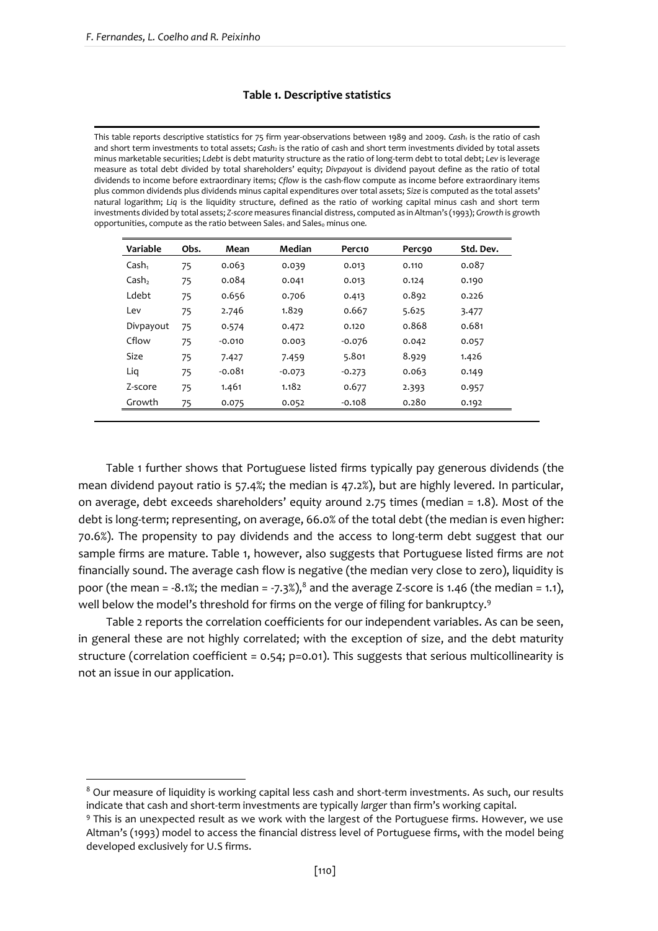**.** 

#### **Table 1. Descriptive statistics**

This table reports descriptive statistics for 75 firm year-observations between 1989 and 2009. *Cash<sup>1</sup>* is the ratio of cash and short term investments to total assets; *Cash<sup>2</sup>* is the ratio of cash and short term investments divided by total assets minus marketable securities; *Ldebt* is debt maturity structure as the ratio of long-term debt to total debt; *Lev* is leverage measure as total debt divided by total shareholders' equity; *Divpayout* is dividend payout define as the ratio of total dividends to income before extraordinary items; *Cflow* is the cash-flow compute as income before extraordinary items plus common dividends plus dividends minus capital expenditures over total assets; *Size* is computed as the total assets' natural logarithm; *Liq* is the liquidity structure, defined as the ratio of working capital minus cash and short term investments divided by total assets; *Z-score* measures financial distress, computed as in Altman's (1993); *Growth* is growth opportunities, compute as the ratio between Sales<sub>1</sub> and Sales<sub>0</sub> minus one.

| Variable          | Obs. | Mean     | Median   | Perc10   | <b>Perc90</b> | Std. Dev. |
|-------------------|------|----------|----------|----------|---------------|-----------|
| Cash <sub>1</sub> | 75   | 0.063    | 0.039    | 0.013    | 0.110         | 0.087     |
| Cash,             | 75   | 0.084    | 0.041    | 0.013    | 0.124         | 0.190     |
| Ldebt             | 75   | 0.656    | 0.706    | 0.413    | 0.892         | 0.226     |
| Lev               | 75   | 2.746    | 1.829    | 0.667    | 5.625         | 3.477     |
| Divpayout         | 75   | 0.574    | 0.472    | 0.120    | 0.868         | 0.681     |
| Cflow             | 75   | $-0.010$ | 0.003    | $-0.076$ | 0.042         | 0.057     |
| <b>Size</b>       | 75   | 7.427    | 7.459    | 5.801    | 8.929         | 1.426     |
| Lig               | 75   | $-0.081$ | $-0.073$ | $-0.273$ | 0.063         | 0.149     |
| Z-score           | 75   | 1.461    | 1.182    | 0.677    | 2.393         | 0.957     |
| Growth            | 75   | 0.075    | 0.052    | $-0.108$ | 0.280         | 0.192     |

Table 1 further shows that Portuguese listed firms typically pay generous dividends (the mean dividend payout ratio is 57.4%; the median is 47.2%), but are highly levered. In particular, on average, debt exceeds shareholders' equity around 2.75 times (median = 1.8). Most of the debt is long-term; representing, on average, 66.0% of the total debt (the median is even higher: 70.6%). The propensity to pay dividends and the access to long-term debt suggest that our sample firms are mature. Table 1, however, also suggests that Portuguese listed firms are *not* financially sound. The average cash flow is negative (the median very close to zero), liquidity is poor (the mean =  $-8.1\%$ ; the median =  $-7.3\%$ ),<sup>8</sup> and the average Z-score is 1.46 (the median = 1.1), well below the model's threshold for firms on the verge of filing for bankruptcy.<sup>9</sup>

Table 2 reports the correlation coefficients for our independent variables. As can be seen, in general these are not highly correlated; with the exception of size, and the debt maturity structure (correlation coefficient = 0.54; p=0.01). This suggests that serious multicollinearity is not an issue in our application.

<sup>&</sup>lt;sup>8</sup> Our measure of liquidity is working capital less cash and short-term investments. As such, our results indicate that cash and short-term investments are typically *larger* than firm's working capital.

<sup>9</sup> This is an unexpected result as we work with the largest of the Portuguese firms. However, we use Altman's (1993) model to access the financial distress level of Portuguese firms, with the model being developed exclusively for U.S firms.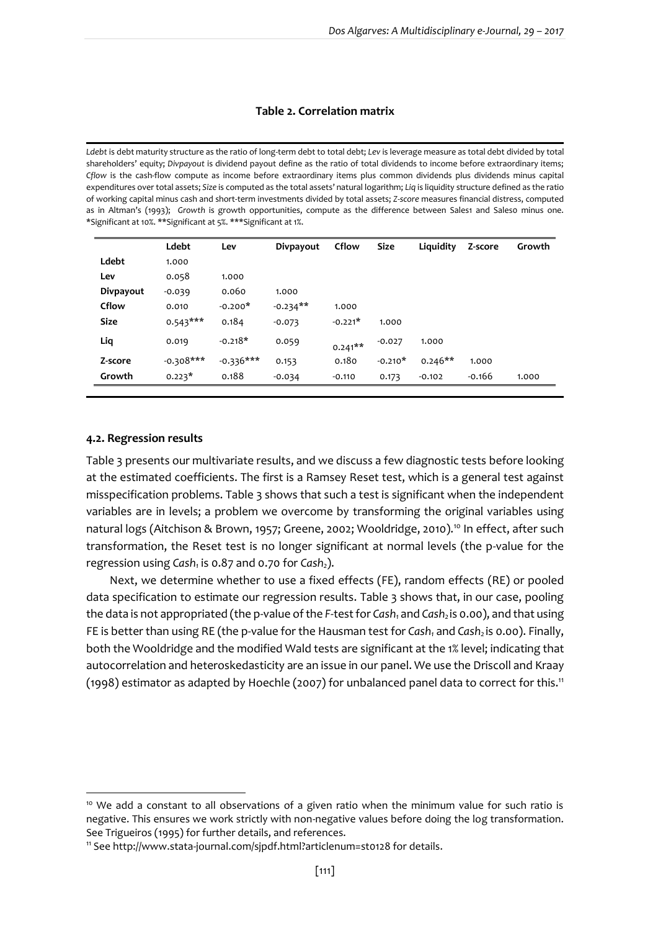#### **Table 2. Correlation matrix**

*Ldebt* is debt maturity structure as the ratio of long-term debt to total debt; *Lev* is leverage measure as total debt divided by total shareholders' equity; *Divpayout* is dividend payout define as the ratio of total dividends to income before extraordinary items; *Cflow* is the cash-flow compute as income before extraordinary items plus common dividends plus dividends minus capital expenditures over total assets; *Size* is computed as the total assets' natural logarithm; *Liq* is liquidity structure defined as the ratio of working capital minus cash and short-term investments divided by total assets; *Z-score* measures financial distress, computed as in Altman's (1993); Growth is growth opportunities, compute as the difference between Sales1 and Saleso minus one. \*Significant at 10%. \*\*Significant at 5%. \*\*\*Significant at 1%.

|             | Ldebt       | Lev         | Divpayout  | Cflow     | Size      | Liquidity | Z-score  | Growth |
|-------------|-------------|-------------|------------|-----------|-----------|-----------|----------|--------|
| Ldebt       | 1.000       |             |            |           |           |           |          |        |
| Lev         | 0.058       | 1.000       |            |           |           |           |          |        |
| Divpayout   | $-0.039$    | 0.060       | 1.000      |           |           |           |          |        |
| Cflow       | 0.010       | $-0.200*$   | $-0.234**$ | 1.000     |           |           |          |        |
| <b>Size</b> | $0.543***$  | 0.184       | $-0.073$   | $-0.221*$ | 1.000     |           |          |        |
| Liq         | 0.019       | $-0.218*$   | 0.059      | $0.241**$ | $-0.027$  | 1.000     |          |        |
| Z-score     | $-0.308***$ | $-0.336***$ | 0.153      | 0.180     | $-0.210*$ | $0.246**$ | 1.000    |        |
| Growth      | $0.223*$    | 0.188       | $-0.034$   | $-0.110$  | 0.173     | $-0.102$  | $-0.166$ | 1.000  |

#### **4.2. Regression results**

1

Table 3 presents our multivariate results, and we discuss a few diagnostic tests before looking at the estimated coefficients. The first is a Ramsey Reset test, which is a general test against misspecification problems. Table 3 shows that such a test is significant when the independent variables are in levels; a problem we overcome by transforming the original variables using natural logs (Aitchison & Brown, 1957; Greene, 2002; Wooldridge, 2010).<sup>10</sup> In effect, after such transformation, the Reset test is no longer significant at normal levels (the p-value for the regression using *Cash<sup>1</sup>* is 0.87 and 0.70 for *Cash2*).

Next, we determine whether to use a fixed effects (FE), random effects (RE) or pooled data specification to estimate our regression results. Table 3 shows that, in our case, pooling the data is not appropriated (the p-value ofthe *F*-test for *Cash<sup>1</sup>* and *Cash2* is 0.00), and that using FE is better than using RE (the p-value for the Hausman test for *Cash<sup>1</sup>* and *Cash2* is 0.00). Finally, both the Wooldridge and the modified Wald tests are significant at the 1% level; indicating that autocorrelation and heteroskedasticity are an issue in our panel. We use the Driscoll and Kraay (1998) estimator as adapted by Hoechle (2007) for unbalanced panel data to correct for this.<sup>11</sup>

<sup>&</sup>lt;sup>10</sup> We add a constant to all observations of a given ratio when the minimum value for such ratio is negative. This ensures we work strictly with non-negative values before doing the log transformation. See Trigueiros (1995) for further details, and references.

<sup>11</sup> See http://www.stata-journal.com/sjpdf.html?articlenum=st0128 for details.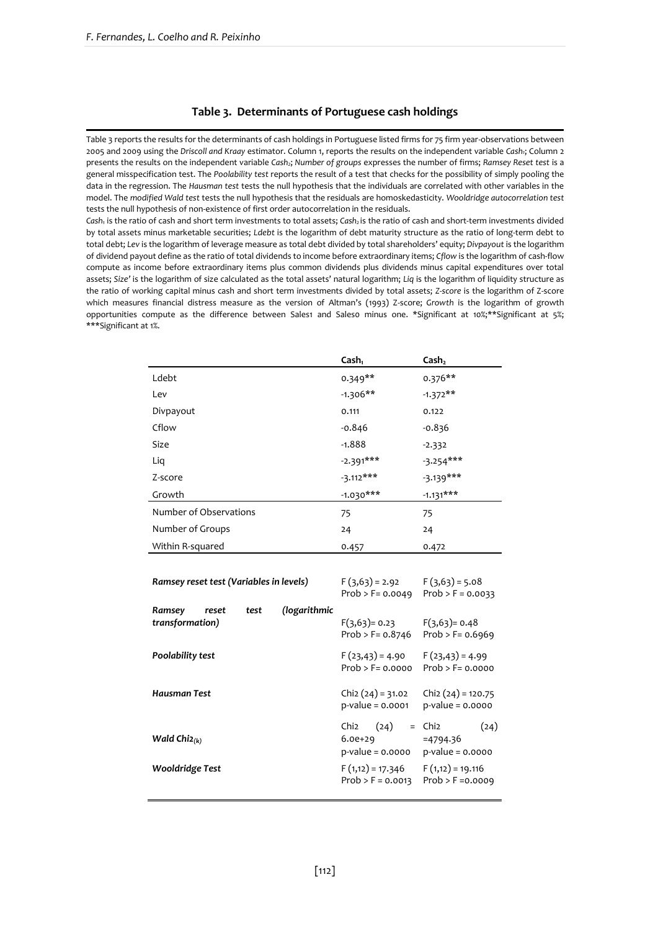#### **Table 3. Determinants of Portuguese cash holdings**

Table 3 reports the results for the determinants of cash holdings in Portuguese listed firms for 75 firm year-observations between 2005 and 2009 using the *Driscoll and Kraay* estimator. Column 1, reports the results on the independent variable *Cash1*; Column 2 presents the results on the independent variable *Cash2*; *Number of groups* expresses the number of firms; *Ramsey Reset test* is a general misspecification test. The *Poolability test* reports the result of a test that checks for the possibility of simply pooling the data in the regression. The *Hausman test* tests the null hypothesis that the individuals are correlated with other variables in the model. The *modified Wald test* tests the null hypothesis that the residuals are homoskedasticity. *Wooldridge autocorrelation test*  tests the null hypothesis of non-existence of first order autocorrelation in the residuals.

*Cash<sup>1</sup>* is the ratio of cash and short term investments to total assets; *Cash<sup>2</sup>* is the ratio of cash and short-term investments divided by total assets minus marketable securities; *Ldebt* is the logarithm of debt maturity structure as the ratio of long-term debt to total debt; *Lev* is the logarithm of leverage measure as total debt divided by total shareholders' equity; *Divpayout* is the logarithm of dividend payout define as the ratio of total dividends to income before extraordinary items; *Cflow* is the logarithm of cash-flow compute as income before extraordinary items plus common dividends plus dividends minus capital expenditures over total assets; *Size'* is the logarithm of size calculated as the total assets' natural logarithm; *Liq* is the logarithm of liquidity structure as the ratio of working capital minus cash and short term investments divided by total assets; *Z-score* is the logarithm of Z-score which measures financial distress measure as the version of Altman's (1993) Z-score; *Growth* is the logarithm of growth opportunities compute as the difference between Sales1 and Sales0 minus one. \*Significant at 10%;\*\*Significant at 5%; \*\*\*Significant at 1%.

|                        | Cash <sub>1</sub> | Cash <sub>2</sub> |
|------------------------|-------------------|-------------------|
| Ldebt                  | $0.349**$         | $0.376**$         |
| Lev                    | $-1.306**$        | $-1.372**$        |
| Divpayout              | 0.111             | 0.122             |
| Cflow                  | $-0.846$          | $-0.836$          |
| <b>Size</b>            | $-1.888$          | $-2.332$          |
| Liq                    | $-2.391***$       | $-3.254***$       |
| Z-score                | $-3.112***$       | $-3.139***$       |
| Growth                 | $-1.030***$       | $-1.131***$       |
| Number of Observations | 75                | 75                |
| Number of Groups       | 24                | 24                |
| Within R-squared       | 0.457             | 0.472             |

| Ramsey reset test (Variables in levels)    | $F(3,63) = 2.92$<br>$Prob > F = 0.0049$ | $F(3,63) = 5.08$<br>$Prob > F = 0.0033$                               |                                                               |
|--------------------------------------------|-----------------------------------------|-----------------------------------------------------------------------|---------------------------------------------------------------|
| Ramsey<br>reset<br>test<br>transformation) | (logarithmic                            | $F(3,63) = 0.23$<br>$Prob > F = 0.8746$                               | $F(3,63) = 0.48$<br>$Prob > F = 0.6969$                       |
| Poolability test                           |                                         | F (23,43) = 4.90<br>$Prob > F = 0.0000$                               | $F(23,43) = 4.99$<br>$Prob > F = 0.0000$                      |
| Hausman Test                               |                                         | $Chi2(24) = 31.02$<br>$p$ -value = 0.0001                             | $Chi(24) = 120.75$<br>$p$ -value = 0.0000                     |
| Wald Chi $2(k)$                            |                                         | Chi <sub>2</sub><br>(24)<br>$=$<br>$6.0e + 29$<br>$p$ -value = 0.0000 | (24)<br>Chi <sub>2</sub><br>$=4794.36$<br>$p$ -value = 0.0000 |
| <b>Wooldridge Test</b>                     |                                         | $F(1,12) = 17.346$<br>$Prob > F = 0.0013$                             | $F(1,12) = 19.116$<br>$Prob > F = 0.0009$                     |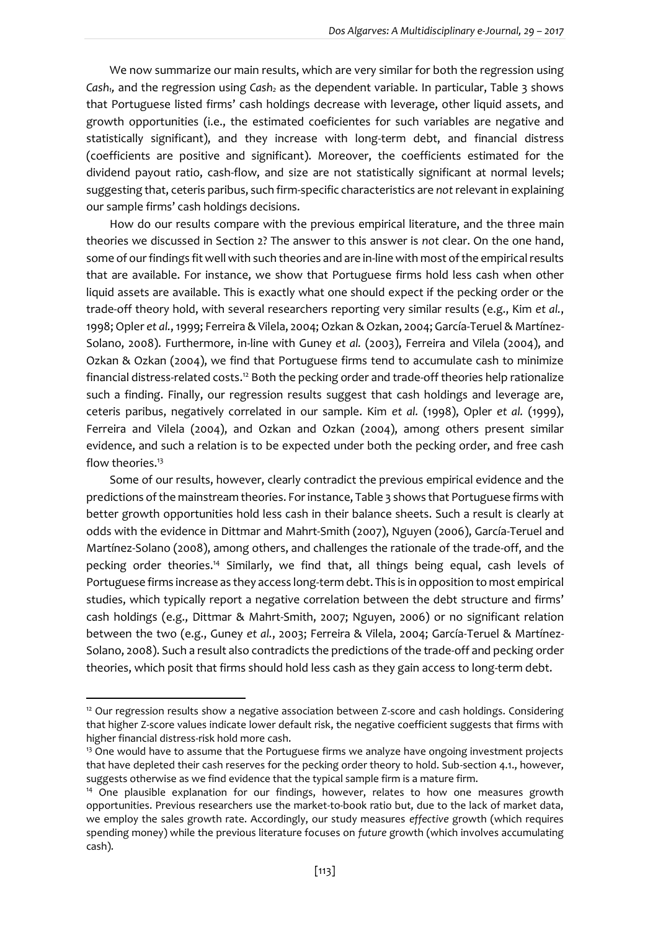We now summarize our main results, which are very similar for both the regression using *Cash1,* and the regression using *Cash<sup>2</sup>* as the dependent variable. In particular, Table 3 shows that Portuguese listed firms' cash holdings decrease with leverage, other liquid assets, and growth opportunities (i.e., the estimated coeficientes for such variables are negative and statistically significant), and they increase with long-term debt, and financial distress (coefficients are positive and significant). Moreover, the coefficients estimated for the dividend payout ratio, cash-flow, and size are not statistically significant at normal levels; suggesting that, ceteris paribus, such firm-specific characteristics are *not*relevant in explaining our sample firms' cash holdings decisions.

How do our results compare with the previous empirical literature, and the three main theories we discussed in Section 2? The answer to this answer is *not* clear. On the one hand, some of our findings fit well with such theories and are in-line with most of the empirical results that are available. For instance, we show that Portuguese firms hold less cash when other liquid assets are available. This is exactly what one should expect if the pecking order or the trade-off theory hold, with several researchers reporting very similar results (e.g., Kim *et al.*, 1998; Opler *et al.*, 1999; Ferreira & Vilela, 2004; Ozkan & Ozkan, 2004; García-Teruel & Martínez-Solano, 2008). Furthermore, in-line with Guney *et al.* (2003), Ferreira and Vilela (2004), and Ozkan & Ozkan (2004), we find that Portuguese firms tend to accumulate cash to minimize financial distress-related costs.<sup>12</sup> Both the pecking order and trade-off theories help rationalize such a finding. Finally, our regression results suggest that cash holdings and leverage are, ceteris paribus, negatively correlated in our sample. Kim *et al.* (1998), Opler *et al.* (1999), Ferreira and Vilela (2004), and Ozkan and Ozkan (2004), among others present similar evidence, and such a relation is to be expected under both the pecking order, and free cash flow theories.<sup>13</sup>

Some of our results, however, clearly contradict the previous empirical evidence and the predictions of the mainstream theories. For instance, Table 3 shows that Portuguese firms with better growth opportunities hold less cash in their balance sheets. Such a result is clearly at odds with the evidence in Dittmar and Mahrt-Smith (2007), Nguyen (2006), García-Teruel and Martínez-Solano (2008), among others, and challenges the rationale of the trade-off, and the pecking order theories.<sup>14</sup> Similarly, we find that, all things being equal, cash levels of Portuguese firms increase as they access long-term debt. This is in opposition to most empirical studies, which typically report a negative correlation between the debt structure and firms' cash holdings (e.g., Dittmar & Mahrt-Smith, 2007; Nguyen, 2006) or no significant relation between the two (e.g., Guney *et al.*, 2003; Ferreira & Vilela, 2004; García-Teruel & Martínez-Solano, 2008). Such a result also contradicts the predictions of the trade-off and pecking order theories, which posit that firms should hold less cash as they gain access to long-term debt.

1

 $12$  Our regression results show a negative association between Z-score and cash holdings. Considering that higher Z-score values indicate lower default risk, the negative coefficient suggests that firms with higher financial distress-risk hold more cash.

<sup>&</sup>lt;sup>13</sup> One would have to assume that the Portuguese firms we analyze have ongoing investment projects that have depleted their cash reserves for the pecking order theory to hold. Sub-section 4.1., however, suggests otherwise as we find evidence that the typical sample firm is a mature firm.

<sup>&</sup>lt;sup>14</sup> One plausible explanation for our findings, however, relates to how one measures growth opportunities. Previous researchers use the market-to-book ratio but, due to the lack of market data, we employ the sales growth rate. Accordingly, our study measures *effective* growth (which requires spending money) while the previous literature focuses on *future* growth (which involves accumulating cash).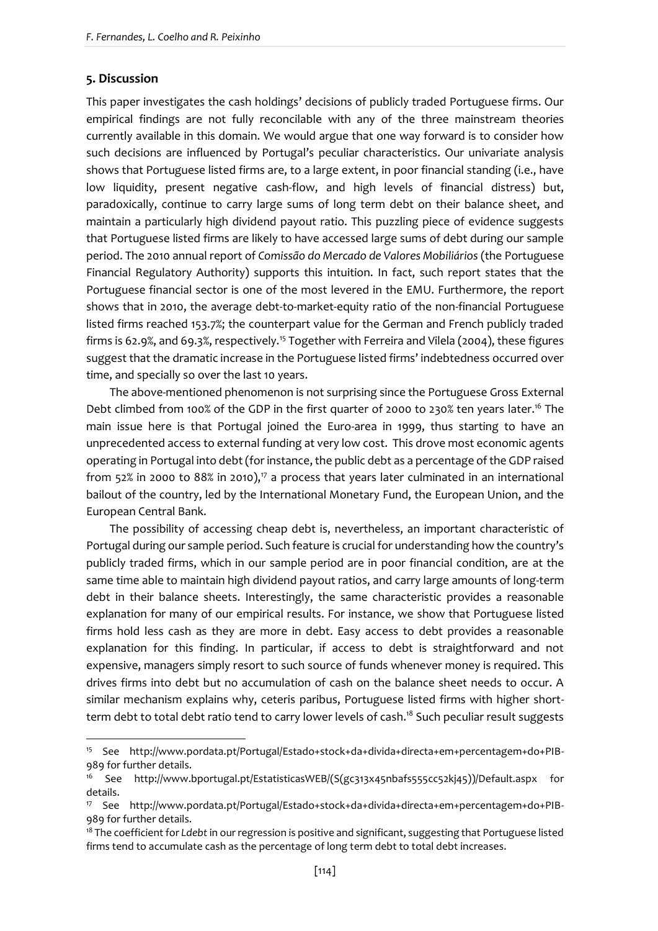## **5. Discussion**

**.** 

This paper investigates the cash holdings' decisions of publicly traded Portuguese firms. Our empirical findings are not fully reconcilable with any of the three mainstream theories currently available in this domain. We would argue that one way forward is to consider how such decisions are influenced by Portugal's peculiar characteristics. Our univariate analysis shows that Portuguese listed firms are, to a large extent, in poor financial standing (i.e., have low liquidity, present negative cash-flow, and high levels of financial distress) but, paradoxically, continue to carry large sums of long term debt on their balance sheet, and maintain a particularly high dividend payout ratio. This puzzling piece of evidence suggests that Portuguese listed firms are likely to have accessed large sums of debt during our sample period. The 2010 annual report of *Comissão do Mercado de Valores Mobiliários* (the Portuguese Financial Regulatory Authority) supports this intuition. In fact, such report states that the Portuguese financial sector is one of the most levered in the EMU. Furthermore, the report shows that in 2010, the average debt-to-market-equity ratio of the non-financial Portuguese listed firms reached 153.7%; the counterpart value for the German and French publicly traded firms is 62.9%, and 69.3%, respectively.<sup>15</sup> Together with Ferreira and Vilela (2004), these figures suggest that the dramatic increase in the Portuguese listed firms' indebtedness occurred over time, and specially so over the last 10 years.

The above-mentioned phenomenon is not surprising since the Portuguese Gross External Debt climbed from 100% of the GDP in the first quarter of 2000 to 230% ten years later.<sup>16</sup> The main issue here is that Portugal joined the Euro-area in 1999, thus starting to have an unprecedented access to external funding at very low cost. This drove most economic agents operating in Portugal into debt (for instance, the public debt as a percentage of the GDP raised from 52% in 2000 to 88% in 2010),<sup> $7$ </sup> a process that years later culminated in an international bailout of the country, led by the International Monetary Fund, the European Union, and the European Central Bank.

The possibility of accessing cheap debt is, nevertheless, an important characteristic of Portugal during our sample period. Such feature is crucial for understanding how the country's publicly traded firms, which in our sample period are in poor financial condition, are at the same time able to maintain high dividend payout ratios, and carry large amounts of long-term debt in their balance sheets. Interestingly, the same characteristic provides a reasonable explanation for many of our empirical results. For instance, we show that Portuguese listed firms hold less cash as they are more in debt. Easy access to debt provides a reasonable explanation for this finding. In particular, if access to debt is straightforward and not expensive, managers simply resort to such source of funds whenever money is required. This drives firms into debt but no accumulation of cash on the balance sheet needs to occur. A similar mechanism explains why, ceteris paribus, Portuguese listed firms with higher shortterm debt to total debt ratio tend to carry lower levels of cash.<sup>18</sup> Such peculiar result suggests

<sup>15</sup> See http://www.pordata.pt/Portugal/Estado+stock+da+divida+directa+em+percentagem+do+PIB-989 for further details.

<sup>16</sup> See http://www.bportugal.pt/EstatisticasWEB/(S(gc313x45nbafs555cc52kj45))/Default.aspx for details.

<sup>17</sup> See http://www.pordata.pt/Portugal/Estado+stock+da+divida+directa+em+percentagem+do+PIB-989 for further details.

<sup>18</sup> The coefficient for *Ldebt*in our regression is positive and significant, suggesting that Portuguese listed firms tend to accumulate cash as the percentage of long term debt to total debt increases.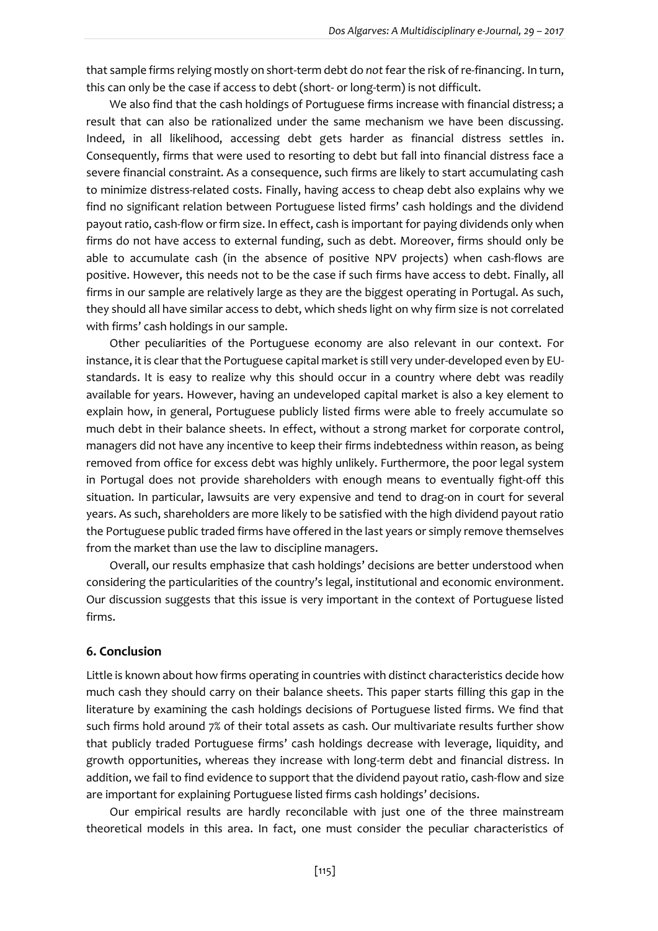that sample firms relying mostly on short-term debt do not fear the risk of re-financing. In turn, this can only be the case if access to debt (short- or long-term) is not difficult.

We also find that the cash holdings of Portuguese firms increase with financial distress; a result that can also be rationalized under the same mechanism we have been discussing. Indeed, in all likelihood, accessing debt gets harder as financial distress settles in. Consequently, firms that were used to resorting to debt but fall into financial distress face a severe financial constraint. As a consequence, such firms are likely to start accumulating cash to minimize distress-related costs. Finally, having access to cheap debt also explains why we find no significant relation between Portuguese listed firms' cash holdings and the dividend payout ratio, cash-flow or firm size. In effect, cash is important for paying dividends only when firms do not have access to external funding, such as debt. Moreover, firms should only be able to accumulate cash (in the absence of positive NPV projects) when cash-flows are positive. However, this needs not to be the case if such firms have access to debt. Finally, all firms in our sample are relatively large as they are the biggest operating in Portugal. As such, they should all have similar access to debt, which sheds light on why firm size is not correlated with firms' cash holdings in our sample.

Other peculiarities of the Portuguese economy are also relevant in our context. For instance, it is clear that the Portuguese capital market is still very under-developed even by EUstandards. It is easy to realize why this should occur in a country where debt was readily available for years. However, having an undeveloped capital market is also a key element to explain how, in general, Portuguese publicly listed firms were able to freely accumulate so much debt in their balance sheets. In effect, without a strong market for corporate control, managers did not have any incentive to keep their firms indebtedness within reason, as being removed from office for excess debt was highly unlikely. Furthermore, the poor legal system in Portugal does not provide shareholders with enough means to eventually fight-off this situation. In particular, lawsuits are very expensive and tend to drag-on in court for several years. As such, shareholders are more likely to be satisfied with the high dividend payout ratio the Portuguese public traded firms have offered in the last years or simply remove themselves from the market than use the law to discipline managers.

Overall, our results emphasize that cash holdings' decisions are better understood when considering the particularities of the country's legal, institutional and economic environment. Our discussion suggests that this issue is very important in the context of Portuguese listed firms.

#### **6. Conclusion**

Little is known about how firms operating in countries with distinct characteristics decide how much cash they should carry on their balance sheets. This paper starts filling this gap in the literature by examining the cash holdings decisions of Portuguese listed firms. We find that such firms hold around 7% of their total assets as cash. Our multivariate results further show that publicly traded Portuguese firms' cash holdings decrease with leverage, liquidity, and growth opportunities, whereas they increase with long-term debt and financial distress. In addition, we fail to find evidence to support that the dividend payout ratio, cash-flow and size are important for explaining Portuguese listed firms cash holdings' decisions.

Our empirical results are hardly reconcilable with just one of the three mainstream theoretical models in this area. In fact, one must consider the peculiar characteristics of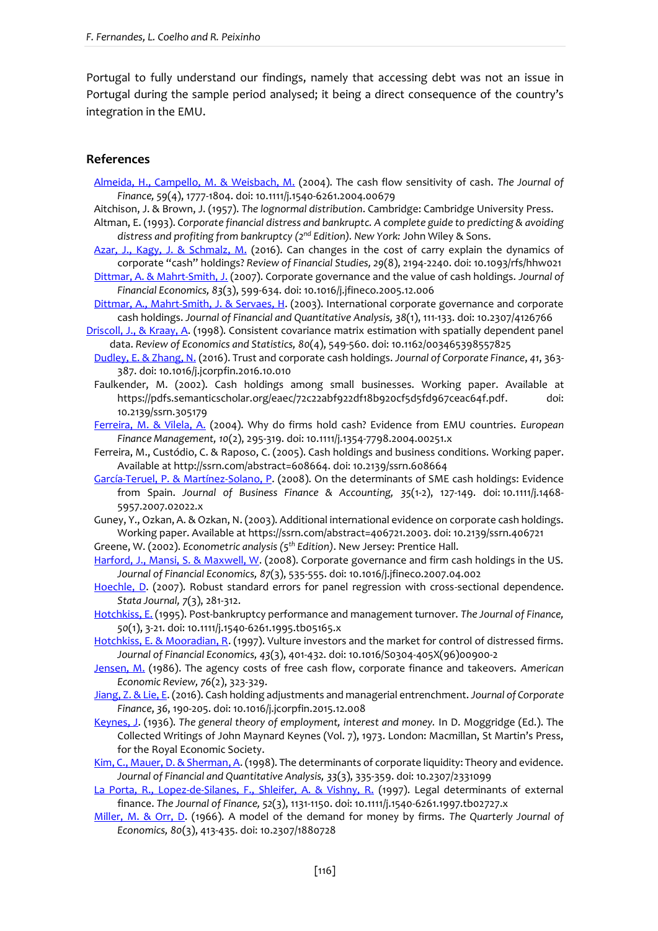Portugal to fully understand our findings, namely that accessing debt was not an issue in Portugal during the sample period analysed; it being a direct consequence of the country's integration in the EMU.

#### **References**

- [Almeida, H., Campello, M. & Weisbach, M.](http://business.illinois.edu/halmeida/cash.pdf) (2004). The cash flow sensitivity of cash. *The Journal of Finance, 59*(4), 1777-1804. doi: 10.1111/j.1540-6261.2004.00679
- Aitchison, J. & Brown, J. (1957). *The lognormal distribution*. Cambridge: Cambridge University Press.
- Altman, E. (1993). *Corporate financial distress and bankruptc. A complete guide to predicting & avoiding distress and profiting from bankruptcy (2nd Edition). New York:* John Wiley & Sons.
- [Azar, J., Kagy, J. & Schmalz, M.](https://academic.oup.com/rfs/article-abstract/29/8/2194/2583650/Can-Changes-in-the-Cost-of-Carry-Explain-the?redirectedFrom=fulltext) (2016). Can changes in the cost of carry explain the dynamics of corporate "cash" holdings? *Review of Financial Studies, 29*(8), 2194-2240. doi: 10.1093/rfs/hhw021
- [Dittmar, A. & Mahrt-Smith, J.](http://www.sciencedirect.com/science/article/pii/S0304405X06001978) (2007). Corporate governance and the value of cash holdings. *Journal of Financial Economics, 83*(3), 599-634. doi: 10.1016/j.jfineco.2005.12.006
- [Dittmar, A., Mahrt-Smith, J. & Servaes, H.](http://faculty.london.edu/hservaes/cash.pdf) (2003). International corporate governance and corporate cash holdings. *Journal of Financial and Quantitative Analysis, 38*(1), 111-133. doi: 10.2307/4126766
- [Driscoll, J., & Kraay, A.](https://pdfs.semanticscholar.org/3c94/4ae21ccf204819d85675d8198506fbd410ef.pdf) (1998). Consistent covariance matrix estimation with spatially dependent panel data. *Review of Economics and Statistics, 80*(4), 549-560. doi: [10.1162/003465398557825](http://dx.doi.org/10.1162/003465398557825)
- [Dudley, E. & Zhang, N.](http://www.sciencedirect.com/science/article/pii/S0929119916301717) (2016). Trust and corporate cash holdings. *Journal of Corporate Finance*, *41*, 363- 387. doi: [10.1016/j.jcor](http://dx.doi.org/10.1162/003465398557825)pfin.2016.10.010
- Faulkender, M. (2002). Cash holdings among small businesses. Working paper. Available at https://pdfs.semanticscholar.org/eaec/72c22abf922df18b920cf5d5fd967ceac64f.pdf. doi: 10.2139/ssrn.305179
- [Ferreira, M. & Vilela, A.](http://docentes.fe.unl.pt/~mferreira/index_files/cash.pdf) (2004). Why do firms hold cash? Evidence from EMU countries. *European Finance Management, 10*(2), 295-319. doi: 10.1111/j.1354-7798.2004.00251.x
- Ferreira, M., Custódio, C. & Raposo, C. (2005). Cash holdings and business conditions. Working paper. Available at http://ssrn.com/abstract=608664. doi: 10.2139/ssrn.608664
- [García-Teruel, P. & Martínez-Solano, P.](http://onlinelibrary.wiley.com/doi/10.1111/j.1468-5957.2007.02022.x/abstract) (2008). On the determinants of SME cash holdings: Evidence from Spain. *Journal of Business Finance & Accounting, 35*(1-2), 127-149. doi: 10.1111/j.1468- 5957.2007.02022.x
- Guney, Y., Ozkan, A. & Ozkan, N. (2003). Additional international evidence on corporate cash holdings. Working paper. Available at [https://ssrn.com/abstract=406721.2003.](https://ssrn.com/abstract=406721.2003) doi: 10.2139/ssrn.406721
- Greene, W. (2002). *Econometric analysis (5th Edition)*. New Jersey: Prentice Hall.
- [Harford, J., Mansi, S. & Maxwell, W.](http://www.sciencedirect.com/science/article/pii/S0304405X07002188) (2008). Corporate governance and firm cash holdings in the US. *Journal of Financial Economics, 87*(3), 535-555. doi: 10.1016/j.jfineco.2007.04.002
- [Hoechle, D.](http://econpapers.repec.org/article/tsjstataj/v_3a7_3ay_3a2007_3ai_3a3_3ap_3a281-312.htm) (2007). Robust standard errors for panel regression with cross-sectional dependence. *Stata Journal, 7*(3), 281-312.
- [Hotchkiss, E.](https://www.researchgate.net/publication/4992364_Post-Bankruptcy_Performance_and_Management_Turnover) (1995). Post-bankruptcy performance and management turnover. *The Journal of Finance, 50*(1), 3-21. doi: 10.1111/j.1540-6261.1995.tb05165.x
- [Hotchkiss, E. & Mooradian, R.](http://www.sciencedirect.com/science/article/pii/S0304405X96009002?via%3Dihub) (1997). Vulture investors and the market for control of distressed firms. *Journal of Financial Economics, 43*(3), 401-432. doi: 10.1016/S0304-405X(96)00900-2
- [Jensen, M.](http://ecsocman.hse.ru/data/853/126/1231/jensen_-_agency_costs_1986.pdf) (1986). The agency costs of free cash flow, corporate finance and takeovers. *American Economic Review, 76*(2), 323-329.
- [Jiang, Z. & Lie, E.](https://www.biz.uiowa.edu/faculty/elie/CashAdjustment.pdf) (2016). Cash holding adjustments and managerial entrenchment. *Journal of Corporate Finance*, *36*, 190-205. doi: 10.1016/j.jcorpfin.2015.12.008
- [Keynes, J.](http://cas2.umkc.edu/economics/people/facultypages/kregel/courses/econ645/winter2011/generaltheory.pdf) (1936). *The general theory of employment, interest and money.* In D. Moggridge (Ed.). The Collected Writings of John Maynard Keynes (Vol. 7), 1973. London: Macmillan, St Martin's Press, for the Royal Economic Society.
- [Kim, C., Mauer, D. & Sherman, A.](http://econpapers.repec.org/article/cupjfinqa/v_3a33_3ay_3a1998_3ai_3a03_3ap_3a335-359_5f00.htm) (1998). The determinants of corporate liquidity: Theory and evidence. *Journal of Financial and Quantitative Analysis, 33*(3), 335-359. doi: 10.2307/2331099
- [La Porta, R., Lopez-de-Silanes, F., Shleifer, A. & Vishny, R.](https://scholar.harvard.edu/shleifer/files/legaldeterminants.pdf) (1997). Legal determinants of external finance. *The Journal of Finance, 52*(3), 1131-1150. doi: 10.1111/j.1540-6261.1997.tb02727.x
- [Miller, M. & Orr, D.](https://academic.oup.com/qje/article-abstract/80/3/413/1876608/A-Model-of-the-Demand-for-Money-by-Firms?redirectedFrom=fulltext) (1966). A model of the demand for money by firms. *The Quarterly Journal of Economics, 80*(3), 413-435. doi: 10.2307/1880728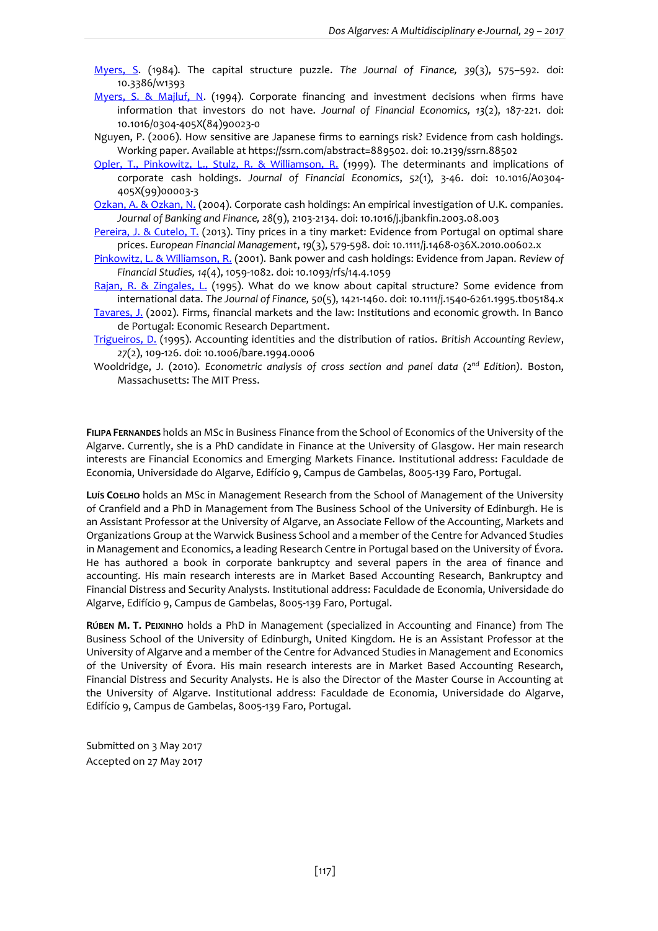- [Myers, S.](http://www.nber.org/papers/w1393) (1984). The capital structure puzzle. *The Journal of Finance, 39*(3), 575–592. doi: 10.3386/w1393
- [Myers, S. & Majluf, N.](https://pdfs.semanticscholar.org/77de/0d5a47ff0ccbff22255155f1009265af270c.pdf) (1994). Corporate financing and investment decisions when firms have information that investors do not have. *Journal of Financial Economics, 13*(2), 187-221. doi: 10.1016/0304-405X(84)90023-0
- Nguyen, P. (2006). How sensitive are Japanese firms to earnings risk? Evidence from cash holdings. Working paper. Available at [https://ssrn.com/abstract=889502.](https://ssrn.com/abstract=889502) doi: 10.2139/ssrn.88502
- [Opler, T., Pinkowitz, L., Stulz, R. & Williamson, R.](https://u.osu.edu/stulz.1/files/2016/05/Determinants_cash-holdings-1w4ptsv.pdf) (1999). The determinants and implications of corporate cash holdings. *Journal of Financial Economics*, *52*(1), 3-46. doi: 10.1016/A0304- 405X(99)00003-3
- [Ozkan, A. & Ozkan, N.](http://www.sciencedirect.com/science/article/pii/S0378426603002292) (2004). Corporate cash holdings: An empirical investigation of U.K. companies. *Journal of Banking and Finance, 28*(9), 2103-2134. doi: [10.1016/j.jbankfin.2003.08.003](http://dx.doi.org/10.1016/j.jbankfin.2003.08.003)
- [Pereira, J. & Cutelo, T.](http://onlinelibrary.wiley.com/doi/10.1111/j.1468-036X.2010.00602.x/abstract) (2013). Tiny prices in a tiny market: Evidence from Portugal on optimal share prices. *European Financial Management*, *19*(3), 579-598. doi: 10.1111/j.1468-036X.2010.00602.x
- [Pinkowitz, L. & Williamson, R.](https://academic.oup.com/rfs/article-abstract/14/4/1059/1595776/Bank-Power-and-Cash-Holdings-Evidence-from-Japan) (2001). Bank power and cash holdings: Evidence from Japan. *Review of Financial Studies, 14*(4), 1059-1082. doi: 10.1093/rfs/14.4.1059
- [Rajan, R. & Zingales, L.](http://onlinelibrary.wiley.com/doi/10.1111/j.1540-6261.1995.tb05184.x/abstract) (1995). What do we know about capital structure? Some evidence from international data. *The Journal of Finance, 50*(5), 1421-1460. doi: 10.1111/j.1540-6261.1995.tb05184.x
- [Tavares, J.](https://www.bportugal.pt/sites/default/files/anexos/paper_11.pdf) (2002). Firms, financial markets and the law: Institutions and economic growth. In Banco de Portugal: Economic Research Department.
- [Trigueiros, D.](http://www.sciencedirect.com/science/article/pii/S0890838984700060) (1995). Accounting identities and the distribution of ratios. *British Accounting Review*, *27*(2), 109-126. doi: 10.1006/bare.1994.0006
- Wooldridge, J. (2010). *Econometric analysis of cross section and panel data (2nd Edition)*. Boston, Massachusetts: The MIT Press.

**FILIPA FERNANDES** holds an MSc in Business Finance from the School of Economics of the University of the Algarve. Currently, she is a PhD candidate in Finance at the University of Glasgow. Her main research interests are Financial Economics and Emerging Markets Finance. Institutional address: Faculdade de Economia, Universidade do Algarve, Edifício 9, Campus de Gambelas, 8005-139 Faro, Portugal.

**LUÍS COELHO** holds an MSc in Management Research from the School of Management of the University of Cranfield and a PhD in Management from The Business School of the University of Edinburgh. He is an Assistant Professor at the University of Algarve, an Associate Fellow of the Accounting, Markets and Organizations Group at the Warwick Business School and a member of the Centre for Advanced Studies in Management and Economics, a leading Research Centre in Portugal based on the University of Évora. He has authored a book in corporate bankruptcy and several papers in the area of finance and accounting. His main research interests are in Market Based Accounting Research, Bankruptcy and Financial Distress and Security Analysts. Institutional address: Faculdade de Economia, Universidade do Algarve, Edifício 9, Campus de Gambelas, 8005-139 Faro, Portugal.

**RÚBEN M. T. PEIXINHO** holds a PhD in Management (specialized in Accounting and Finance) from The Business School of the University of Edinburgh, United Kingdom. He is an Assistant Professor at the University of Algarve and a member of the Centre for Advanced Studies in Management and Economics of the University of Évora. His main research interests are in Market Based Accounting Research, Financial Distress and Security Analysts. He is also the Director of the Master Course in Accounting at the University of Algarve. Institutional address: Faculdade de Economia, Universidade do Algarve, Edifício 9, Campus de Gambelas, 8005-139 Faro, Portugal.

Submitted on 3 May 2017 Accepted on 27 May 2017